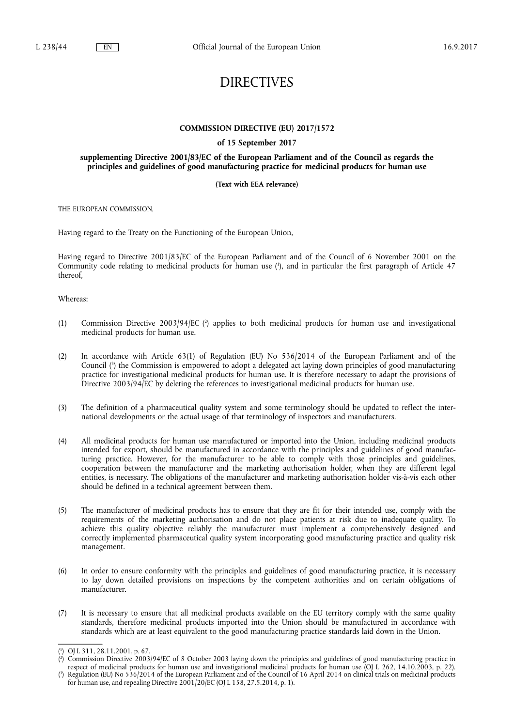# DIRECTIVES

# **COMMISSION DIRECTIVE (EU) 2017/1572**

# **of 15 September 2017**

# **supplementing Directive 2001/83/EC of the European Parliament and of the Council as regards the principles and guidelines of good manufacturing practice for medicinal products for human use**

# **(Text with EEA relevance)**

THE EUROPEAN COMMISSION,

Having regard to the Treaty on the Functioning of the European Union,

Having regard to Directive 2001/83/EC of the European Parliament and of the Council of 6 November 2001 on the Community code relating to medicinal products for human use ( 1 ), and in particular the first paragraph of Article 47 thereof,

Whereas:

- (1) Commission Directive 2003/94/EC (<sup>2</sup>) applies to both medicinal products for human use and investigational medicinal products for human use.
- (2) In accordance with Article 63(1) of Regulation (EU) No 536/2014 of the European Parliament and of the Council ( 3 ) the Commission is empowered to adopt a delegated act laying down principles of good manufacturing practice for investigational medicinal products for human use. It is therefore necessary to adapt the provisions of Directive 2003/94/EC by deleting the references to investigational medicinal products for human use.
- (3) The definition of a pharmaceutical quality system and some terminology should be updated to reflect the international developments or the actual usage of that terminology of inspectors and manufacturers.
- (4) All medicinal products for human use manufactured or imported into the Union, including medicinal products intended for export, should be manufactured in accordance with the principles and guidelines of good manufacturing practice. However, for the manufacturer to be able to comply with those principles and guidelines, cooperation between the manufacturer and the marketing authorisation holder, when they are different legal entities, is necessary. The obligations of the manufacturer and marketing authorisation holder vis-à-vis each other should be defined in a technical agreement between them.
- (5) The manufacturer of medicinal products has to ensure that they are fit for their intended use, comply with the requirements of the marketing authorisation and do not place patients at risk due to inadequate quality. To achieve this quality objective reliably the manufacturer must implement a comprehensively designed and correctly implemented pharmaceutical quality system incorporating good manufacturing practice and quality risk management.
- (6) In order to ensure conformity with the principles and guidelines of good manufacturing practice, it is necessary to lay down detailed provisions on inspections by the competent authorities and on certain obligations of manufacturer.
- (7) It is necessary to ensure that all medicinal products available on the EU territory comply with the same quality standards, therefore medicinal products imported into the Union should be manufactured in accordance with standards which are at least equivalent to the good manufacturing practice standards laid down in the Union.

<sup>(</sup> 1 ) OJ L 311, 28.11.2001, p. 67.

<sup>(</sup> 2 ) Commission Directive 2003/94/EC of 8 October 2003 laying down the principles and guidelines of good manufacturing practice in respect of medicinal products for human use and investigational medicinal products for human use (OJ L 262, 14.10.2003, p. 22).

<sup>(</sup> 3 ) Regulation (EU) No 536/2014 of the European Parliament and of the Council of 16 April 2014 on clinical trials on medicinal products for human use, and repealing Directive 2001/20/EC (OJ L 158, 27.5.2014, p. 1).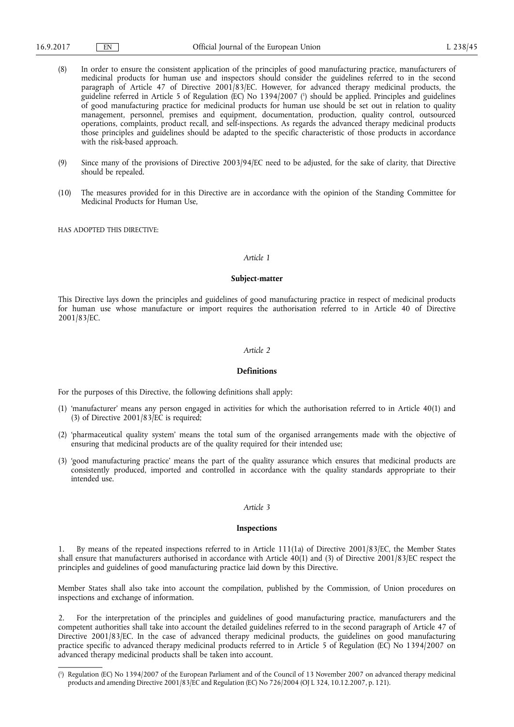- (8) In order to ensure the consistent application of the principles of good manufacturing practice, manufacturers of medicinal products for human use and inspectors should consider the guidelines referred to in the second paragraph of Article 47 of Directive 2001/83/EC. However, for advanced therapy medicinal products, the guideline referred in Article 5 of Regulation (EC) No 1394/2007 ( 1 ) should be applied. Principles and guidelines of good manufacturing practice for medicinal products for human use should be set out in relation to quality management, personnel, premises and equipment, documentation, production, quality control, outsourced operations, complaints, product recall, and self-inspections. As regards the advanced therapy medicinal products those principles and guidelines should be adapted to the specific characteristic of those products in accordance with the risk-based approach.
- (9) Since many of the provisions of Directive 2003/94/EC need to be adjusted, for the sake of clarity, that Directive should be repealed.
- (10) The measures provided for in this Directive are in accordance with the opinion of the Standing Committee for Medicinal Products for Human Use,

HAS ADOPTED THIS DIRECTIVE:

### *Article 1*

# **Subject-matter**

This Directive lays down the principles and guidelines of good manufacturing practice in respect of medicinal products for human use whose manufacture or import requires the authorisation referred to in Article 40 of Directive 2001/83/EC.

#### *Article 2*

#### **Definitions**

For the purposes of this Directive, the following definitions shall apply:

- (1) 'manufacturer' means any person engaged in activities for which the authorisation referred to in Article 40(1) and (3) of Directive 2001/83/EC is required;
- (2) 'pharmaceutical quality system' means the total sum of the organised arrangements made with the objective of ensuring that medicinal products are of the quality required for their intended use;
- (3) 'good manufacturing practice' means the part of the quality assurance which ensures that medicinal products are consistently produced, imported and controlled in accordance with the quality standards appropriate to their intended use.

# *Article 3*

# **Inspections**

1. By means of the repeated inspections referred to in Article 111(1a) of Directive 2001/83/EC, the Member States shall ensure that manufacturers authorised in accordance with Article 40(1) and (3) of Directive 2001/83/EC respect the principles and guidelines of good manufacturing practice laid down by this Directive.

Member States shall also take into account the compilation, published by the Commission, of Union procedures on inspections and exchange of information.

2. For the interpretation of the principles and guidelines of good manufacturing practice, manufacturers and the competent authorities shall take into account the detailed guidelines referred to in the second paragraph of Article 47 of Directive 2001/83/EC. In the case of advanced therapy medicinal products, the guidelines on good manufacturing practice specific to advanced therapy medicinal products referred to in Article 5 of Regulation (EC) No 1394/2007 on advanced therapy medicinal products shall be taken into account.

<sup>(</sup> 1 ) Regulation (EC) No 1394/2007 of the European Parliament and of the Council of 13 November 2007 on advanced therapy medicinal products and amending Directive 2001/83/EC and Regulation (EC) No 726/2004 (OJ L 324, 10.12.2007, p. 121).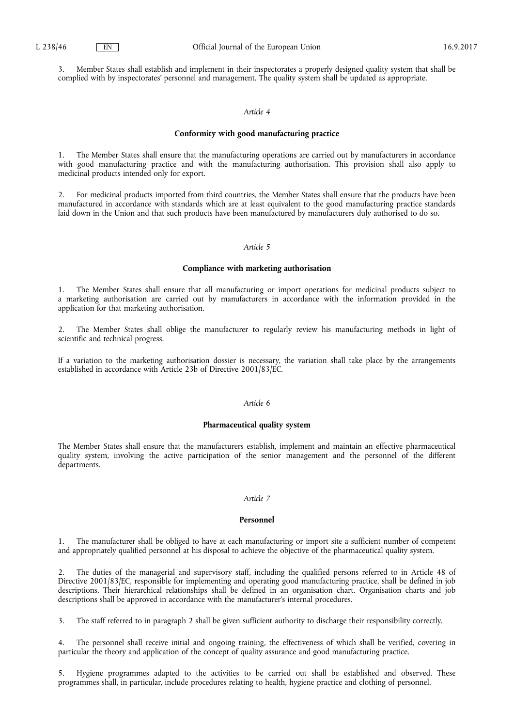3. Member States shall establish and implement in their inspectorates a properly designed quality system that shall be complied with by inspectorates' personnel and management. The quality system shall be updated as appropriate.

# *Article 4*

# **Conformity with good manufacturing practice**

1. The Member States shall ensure that the manufacturing operations are carried out by manufacturers in accordance with good manufacturing practice and with the manufacturing authorisation. This provision shall also apply to medicinal products intended only for export.

2. For medicinal products imported from third countries, the Member States shall ensure that the products have been manufactured in accordance with standards which are at least equivalent to the good manufacturing practice standards laid down in the Union and that such products have been manufactured by manufacturers duly authorised to do so.

# *Article 5*

#### **Compliance with marketing authorisation**

1. The Member States shall ensure that all manufacturing or import operations for medicinal products subject to a marketing authorisation are carried out by manufacturers in accordance with the information provided in the application for that marketing authorisation.

2. The Member States shall oblige the manufacturer to regularly review his manufacturing methods in light of scientific and technical progress.

If a variation to the marketing authorisation dossier is necessary, the variation shall take place by the arrangements established in accordance with Article 23b of Directive 2001/83/EC.

# *Article 6*

## **Pharmaceutical quality system**

The Member States shall ensure that the manufacturers establish, implement and maintain an effective pharmaceutical quality system, involving the active participation of the senior management and the personnel of the different departments.

# *Article 7*

### **Personnel**

1. The manufacturer shall be obliged to have at each manufacturing or import site a sufficient number of competent and appropriately qualified personnel at his disposal to achieve the objective of the pharmaceutical quality system.

2. The duties of the managerial and supervisory staff, including the qualified persons referred to in Article 48 of Directive 2001/83/EC, responsible for implementing and operating good manufacturing practice, shall be defined in job descriptions. Their hierarchical relationships shall be defined in an organisation chart. Organisation charts and job descriptions shall be approved in accordance with the manufacturer's internal procedures.

3. The staff referred to in paragraph 2 shall be given sufficient authority to discharge their responsibility correctly.

The personnel shall receive initial and ongoing training, the effectiveness of which shall be verified, covering in particular the theory and application of the concept of quality assurance and good manufacturing practice.

Hygiene programmes adapted to the activities to be carried out shall be established and observed. These programmes shall, in particular, include procedures relating to health, hygiene practice and clothing of personnel.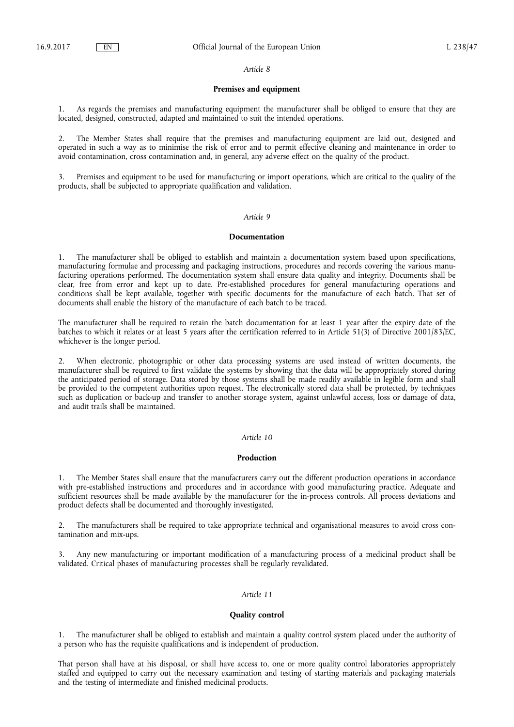#### *Article 8*

# **Premises and equipment**

1. As regards the premises and manufacturing equipment the manufacturer shall be obliged to ensure that they are located, designed, constructed, adapted and maintained to suit the intended operations.

2. The Member States shall require that the premises and manufacturing equipment are laid out, designed and operated in such a way as to minimise the risk of error and to permit effective cleaning and maintenance in order to avoid contamination, cross contamination and, in general, any adverse effect on the quality of the product.

3. Premises and equipment to be used for manufacturing or import operations, which are critical to the quality of the products, shall be subjected to appropriate qualification and validation.

### *Article 9*

#### **Documentation**

1. The manufacturer shall be obliged to establish and maintain a documentation system based upon specifications, manufacturing formulae and processing and packaging instructions, procedures and records covering the various manufacturing operations performed. The documentation system shall ensure data quality and integrity. Documents shall be clear, free from error and kept up to date. Pre-established procedures for general manufacturing operations and conditions shall be kept available, together with specific documents for the manufacture of each batch. That set of documents shall enable the history of the manufacture of each batch to be traced.

The manufacturer shall be required to retain the batch documentation for at least 1 year after the expiry date of the batches to which it relates or at least 5 years after the certification referred to in Article 51(3) of Directive 2001/83/EC, whichever is the longer period.

2. When electronic, photographic or other data processing systems are used instead of written documents, the manufacturer shall be required to first validate the systems by showing that the data will be appropriately stored during the anticipated period of storage. Data stored by those systems shall be made readily available in legible form and shall be provided to the competent authorities upon request. The electronically stored data shall be protected, by techniques such as duplication or back-up and transfer to another storage system, against unlawful access, loss or damage of data, and audit trails shall be maintained.

#### *Article 10*

## **Production**

1. The Member States shall ensure that the manufacturers carry out the different production operations in accordance with pre-established instructions and procedures and in accordance with good manufacturing practice. Adequate and sufficient resources shall be made available by the manufacturer for the in-process controls. All process deviations and product defects shall be documented and thoroughly investigated.

2. The manufacturers shall be required to take appropriate technical and organisational measures to avoid cross contamination and mix-ups.

Any new manufacturing or important modification of a manufacturing process of a medicinal product shall be validated. Critical phases of manufacturing processes shall be regularly revalidated.

# *Article 11*

#### **Quality control**

1. The manufacturer shall be obliged to establish and maintain a quality control system placed under the authority of a person who has the requisite qualifications and is independent of production.

That person shall have at his disposal, or shall have access to, one or more quality control laboratories appropriately staffed and equipped to carry out the necessary examination and testing of starting materials and packaging materials and the testing of intermediate and finished medicinal products.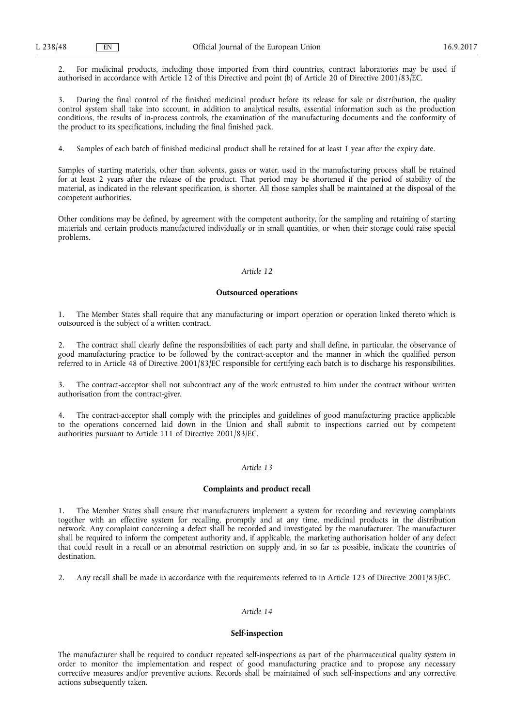2. For medicinal products, including those imported from third countries, contract laboratories may be used if authorised in accordance with Article 12 of this Directive and point (b) of Article 20 of Directive 2001/83/EC.

3. During the final control of the finished medicinal product before its release for sale or distribution, the quality control system shall take into account, in addition to analytical results, essential information such as the production conditions, the results of in-process controls, the examination of the manufacturing documents and the conformity of the product to its specifications, including the final finished pack.

4. Samples of each batch of finished medicinal product shall be retained for at least 1 year after the expiry date.

Samples of starting materials, other than solvents, gases or water, used in the manufacturing process shall be retained for at least 2 years after the release of the product. That period may be shortened if the period of stability of the material, as indicated in the relevant specification, is shorter. All those samples shall be maintained at the disposal of the competent authorities.

Other conditions may be defined, by agreement with the competent authority, for the sampling and retaining of starting materials and certain products manufactured individually or in small quantities, or when their storage could raise special problems.

### *Article 12*

#### **Outsourced operations**

1. The Member States shall require that any manufacturing or import operation or operation linked thereto which is outsourced is the subject of a written contract.

2. The contract shall clearly define the responsibilities of each party and shall define, in particular, the observance of good manufacturing practice to be followed by the contract-acceptor and the manner in which the qualified person referred to in Article 48 of Directive 2001/83/EC responsible for certifying each batch is to discharge his responsibilities.

3. The contract-acceptor shall not subcontract any of the work entrusted to him under the contract without written authorisation from the contract-giver.

4. The contract-acceptor shall comply with the principles and guidelines of good manufacturing practice applicable to the operations concerned laid down in the Union and shall submit to inspections carried out by competent authorities pursuant to Article 111 of Directive 2001/83/EC.

# *Article 13*

# **Complaints and product recall**

1. The Member States shall ensure that manufacturers implement a system for recording and reviewing complaints together with an effective system for recalling, promptly and at any time, medicinal products in the distribution network. Any complaint concerning a defect shall be recorded and investigated by the manufacturer. The manufacturer shall be required to inform the competent authority and, if applicable, the marketing authorisation holder of any defect that could result in a recall or an abnormal restriction on supply and, in so far as possible, indicate the countries of destination.

2. Any recall shall be made in accordance with the requirements referred to in Article 123 of Directive 2001/83/EC.

# *Article 14*

# **Self-inspection**

The manufacturer shall be required to conduct repeated self-inspections as part of the pharmaceutical quality system in order to monitor the implementation and respect of good manufacturing practice and to propose any necessary corrective measures and/or preventive actions. Records shall be maintained of such self-inspections and any corrective actions subsequently taken.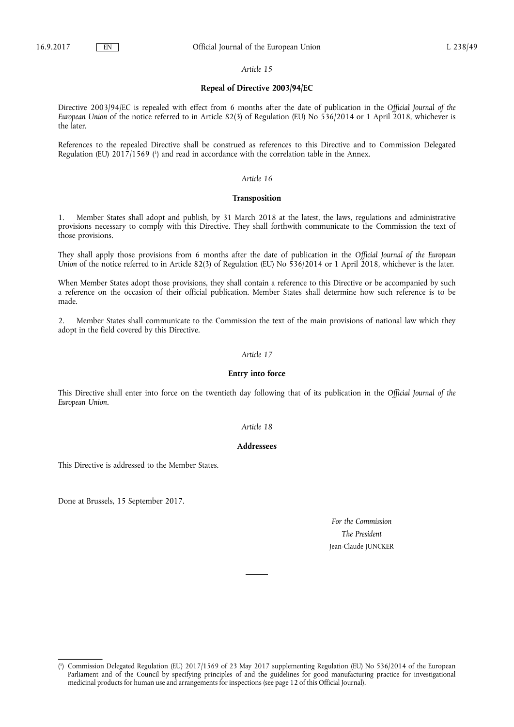#### *Article 15*

# **Repeal of Directive 2003/94/EC**

Directive 2003/94/EC is repealed with effect from 6 months after the date of publication in the *Official Journal of the European Union* of the notice referred to in Article 82(3) of Regulation (EU) No 536/2014 or 1 April 2018, whichever is the later.

References to the repealed Directive shall be construed as references to this Directive and to Commission Delegated Regulation (EU) 2017/1569 (<sup>1</sup>) and read in accordance with the correlation table in the Annex.

#### *Article 16*

#### **Transposition**

Member States shall adopt and publish, by 31 March 2018 at the latest, the laws, regulations and administrative provisions necessary to comply with this Directive. They shall forthwith communicate to the Commission the text of those provisions.

They shall apply those provisions from 6 months after the date of publication in the *Official Journal of the European Union* of the notice referred to in Article 82(3) of Regulation (EU) No 536/2014 or 1 April 2018, whichever is the later.

When Member States adopt those provisions, they shall contain a reference to this Directive or be accompanied by such a reference on the occasion of their official publication. Member States shall determine how such reference is to be made.

2. Member States shall communicate to the Commission the text of the main provisions of national law which they adopt in the field covered by this Directive.

# *Article 17*

# **Entry into force**

This Directive shall enter into force on the twentieth day following that of its publication in the *Official Journal of the European Union*.

### *Article 18*

# **Addressees**

This Directive is addressed to the Member States.

Done at Brussels, 15 September 2017.

*For the Commission The President*  Jean-Claude JUNCKER

<sup>(</sup> 1 ) Commission Delegated Regulation (EU) 2017/1569 of 23 May 2017 supplementing Regulation (EU) No 536/2014 of the European Parliament and of the Council by specifying principles of and the guidelines for good manufacturing practice for investigational medicinal products for human use and arrangements for inspections (see page 12 of this Official Journal).